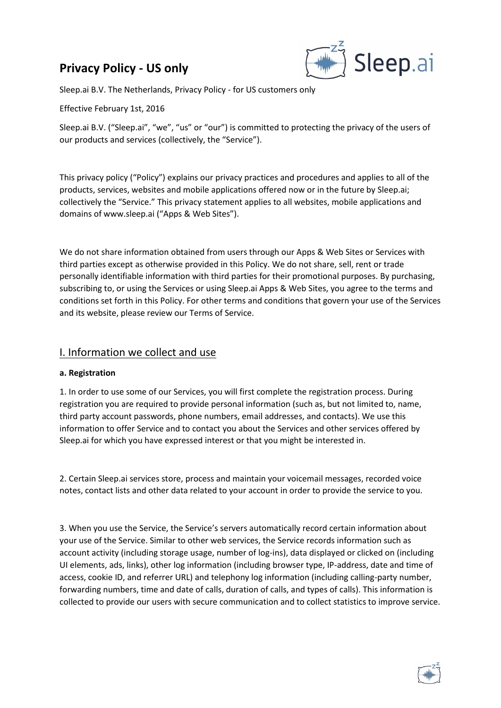# **Privacy Policy - US only**



Sleep.ai B.V. The Netherlands, Privacy Policy - for US customers only

Effective February 1st, 2016

Sleep.ai B.V. ("Sleep.ai", "we", "us" or "our") is committed to protecting the privacy of the users of our products and services (collectively, the "Service").

This privacy policy ("Policy") explains our privacy practices and procedures and applies to all of the products, services, websites and mobile applications offered now or in the future by Sleep.ai; collectively the "Service." This privacy statement applies to all websites, mobile applications and domains of www.sleep.ai ("Apps & Web Sites").

We do not share information obtained from users through our Apps & Web Sites or Services with third parties except as otherwise provided in this Policy. We do not share, sell, rent or trade personally identifiable information with third parties for their promotional purposes. By purchasing, subscribing to, or using the Services or using Sleep.ai Apps & Web Sites, you agree to the terms and conditions set forth in this Policy. For other terms and conditions that govern your use of the Services and its website, please review our Terms of Service.

#### I. Information we collect and use

#### **a. Registration**

1. In order to use some of our Services, you will first complete the registration process. During registration you are required to provide personal information (such as, but not limited to, name, third party account passwords, phone numbers, email addresses, and contacts). We use this information to offer Service and to contact you about the Services and other services offered by Sleep.ai for which you have expressed interest or that you might be interested in.

2. Certain Sleep.ai services store, process and maintain your voicemail messages, recorded voice notes, contact lists and other data related to your account in order to provide the service to you.

3. When you use the Service, the Service's servers automatically record certain information about your use of the Service. Similar to other web services, the Service records information such as account activity (including storage usage, number of log-ins), data displayed or clicked on (including UI elements, ads, links), other log information (including browser type, IP-address, date and time of access, cookie ID, and referrer URL) and telephony log information (including calling-party number, forwarding numbers, time and date of calls, duration of calls, and types of calls). This information is collected to provide our users with secure communication and to collect statistics to improve service.

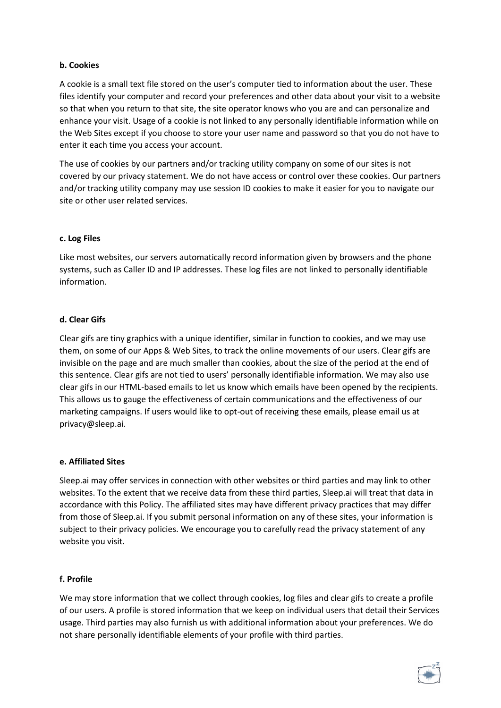#### **b. Cookies**

A cookie is a small text file stored on the user's computer tied to information about the user. These files identify your computer and record your preferences and other data about your visit to a website so that when you return to that site, the site operator knows who you are and can personalize and enhance your visit. Usage of a cookie is not linked to any personally identifiable information while on the Web Sites except if you choose to store your user name and password so that you do not have to enter it each time you access your account.

The use of cookies by our partners and/or tracking utility company on some of our sites is not covered by our privacy statement. We do not have access or control over these cookies. Our partners and/or tracking utility company may use session ID cookies to make it easier for you to navigate our site or other user related services.

#### **c. Log Files**

Like most websites, our servers automatically record information given by browsers and the phone systems, such as Caller ID and IP addresses. These log files are not linked to personally identifiable information.

#### **d. Clear Gifs**

Clear gifs are tiny graphics with a unique identifier, similar in function to cookies, and we may use them, on some of our Apps & Web Sites, to track the online movements of our users. Clear gifs are invisible on the page and are much smaller than cookies, about the size of the period at the end of this sentence. Clear gifs are not tied to users' personally identifiable information. We may also use clear gifs in our HTML-based emails to let us know which emails have been opened by the recipients. This allows us to gauge the effectiveness of certain communications and the effectiveness of our marketing campaigns. If users would like to opt-out of receiving these emails, please email us at privacy@sleep.ai.

#### **e. Affiliated Sites**

Sleep.ai may offer services in connection with other websites or third parties and may link to other websites. To the extent that we receive data from these third parties, Sleep.ai will treat that data in accordance with this Policy. The affiliated sites may have different privacy practices that may differ from those of Sleep.ai. If you submit personal information on any of these sites, your information is subject to their privacy policies. We encourage you to carefully read the privacy statement of any website you visit.

#### **f. Profile**

We may store information that we collect through cookies, log files and clear gifs to create a profile of our users. A profile is stored information that we keep on individual users that detail their Services usage. Third parties may also furnish us with additional information about your preferences. We do not share personally identifiable elements of your profile with third parties.

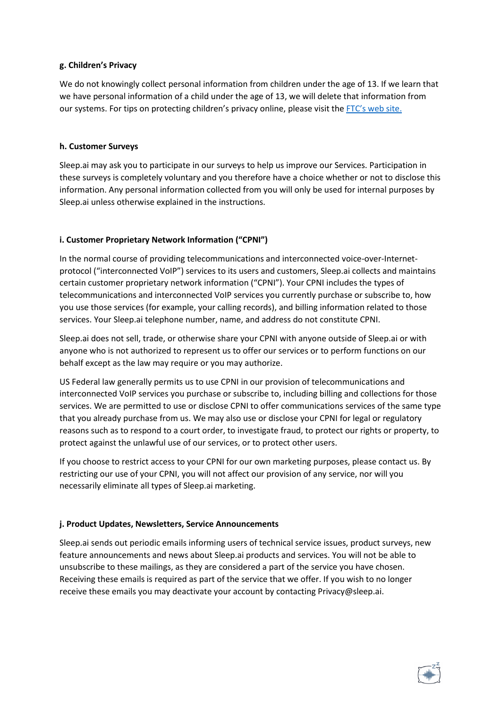#### **g. Children's Privacy**

We do not knowingly collect personal information from children under the age of 13. If we learn that we have personal information of a child under the age of 13, we will delete that information from our systems. For tips on protecting children's privacy online, please visit the [FTC's web site](http://www.ftc.gov/bcp/edu/pubs/consumer/tech/tec08.shtm).

#### **h. Customer Surveys**

Sleep.ai may ask you to participate in our surveys to help us improve our Services. Participation in these surveys is completely voluntary and you therefore have a choice whether or not to disclose this information. Any personal information collected from you will only be used for internal purposes by Sleep.ai unless otherwise explained in the instructions.

#### **i. Customer Proprietary Network Information ("CPNI")**

In the normal course of providing telecommunications and interconnected voice-over-Internetprotocol ("interconnected VoIP") services to its users and customers, Sleep.ai collects and maintains certain customer proprietary network information ("CPNI"). Your CPNI includes the types of telecommunications and interconnected VoIP services you currently purchase or subscribe to, how you use those services (for example, your calling records), and billing information related to those services. Your Sleep.ai telephone number, name, and address do not constitute CPNI.

Sleep.ai does not sell, trade, or otherwise share your CPNI with anyone outside of Sleep.ai or with anyone who is not authorized to represent us to offer our services or to perform functions on our behalf except as the law may require or you may authorize.

US Federal law generally permits us to use CPNI in our provision of telecommunications and interconnected VoIP services you purchase or subscribe to, including billing and collections for those services. We are permitted to use or disclose CPNI to offer communications services of the same type that you already purchase from us. We may also use or disclose your CPNI for legal or regulatory reasons such as to respond to a court order, to investigate fraud, to protect our rights or property, to protect against the unlawful use of our services, or to protect other users.

If you choose to restrict access to your CPNI for our own marketing purposes, please contact us. By restricting our use of your CPNI, you will not affect our provision of any service, nor will you necessarily eliminate all types of Sleep.ai marketing.

#### **j. Product Updates, Newsletters, Service Announcements**

Sleep.ai sends out periodic emails informing users of technical service issues, product surveys, new feature announcements and news about Sleep.ai products and services. You will not be able to unsubscribe to these mailings, as they are considered a part of the service you have chosen. Receiving these emails is required as part of the service that we offer. If you wish to no longer receive these emails you may deactivate your account by contacting Privacy@sleep.ai.

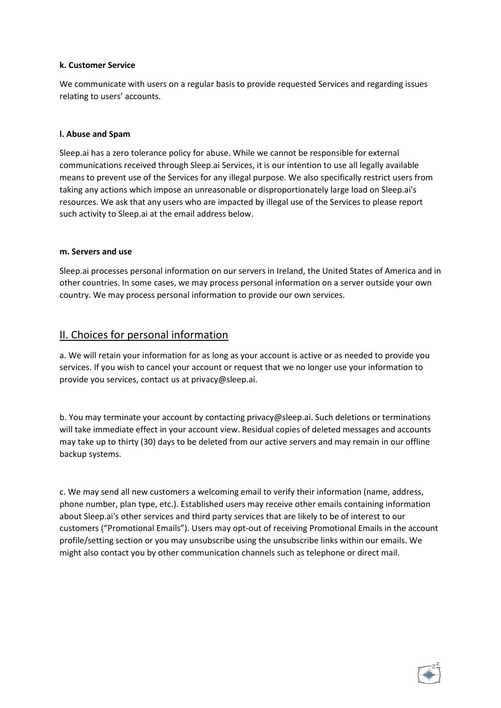#### **k. Customer Service**

We communicate with users on a regular basis to provide requested Services and regarding issues relating to users' accounts.

#### **l. Abuse and Spam**

Sleep.ai has a zero tolerance policy for abuse. While we cannot be responsible for external communications received through Sleep.ai Services, it is our intention to use all legally available means to prevent use of the Services for any illegal purpose. We also specifically restrict users from taking any actions which impose an unreasonable or disproportionately large load on Sleep.ai's resources. We ask that any users who are impacted by illegal use of the Services to please report such activity to Sleep.ai at the email address below.

#### **m. Servers and use**

Sleep.ai processes personal information on our servers in Ireland, the United States of America and in other countries. In some cases, we may process personal information on a server outside your own country. We may process personal information to provide our own services.

### II. Choices for personal information

a. We will retain your information for as long as your account is active or as needed to provide you services. If you wish to cancel your account or request that we no longer use your information to provide you services, contact us at privacy@sleep.ai.

b. You may terminate your account by contacting privacy@sleep.ai. Such deletions or terminations will take immediate effect in your account view. Residual copies of deleted messages and accounts may take up to thirty (30) days to be deleted from our active servers and may remain in our offline backup systems.

c. We may send all new customers a welcoming email to verify their information (name, address, phone number, plan type, etc.). Established users may receive other emails containing information about Sleep.ai's other services and third party services that are likely to be of interest to our customers ("Promotional Emails"). Users may opt-out of receiving Promotional Emails in the account profile/setting section or you may unsubscribe using the unsubscribe links within our emails. We might also contact you by other communication channels such as telephone or direct mail.

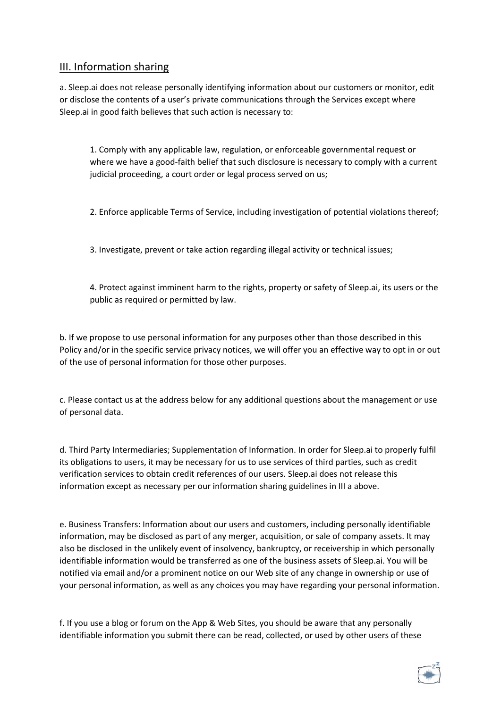# III. Information sharing

a. Sleep.ai does not release personally identifying information about our customers or monitor, edit or disclose the contents of a user's private communications through the Services except where Sleep.ai in good faith believes that such action is necessary to:

1. Comply with any applicable law, regulation, or enforceable governmental request or where we have a good-faith belief that such disclosure is necessary to comply with a current judicial proceeding, a court order or legal process served on us;

2. Enforce applicable Terms of Service, including investigation of potential violations thereof;

3. Investigate, prevent or take action regarding illegal activity or technical issues;

4. Protect against imminent harm to the rights, property or safety of Sleep.ai, its users or the public as required or permitted by law.

b. If we propose to use personal information for any purposes other than those described in this Policy and/or in the specific service privacy notices, we will offer you an effective way to opt in or out of the use of personal information for those other purposes.

c. Please contact us at the address below for any additional questions about the management or use of personal data.

d. Third Party Intermediaries; Supplementation of Information. In order for Sleep.ai to properly fulfil its obligations to users, it may be necessary for us to use services of third parties, such as credit verification services to obtain credit references of our users. Sleep.ai does not release this information except as necessary per our information sharing guidelines in III a above.

e. Business Transfers: Information about our users and customers, including personally identifiable information, may be disclosed as part of any merger, acquisition, or sale of company assets. It may also be disclosed in the unlikely event of insolvency, bankruptcy, or receivership in which personally identifiable information would be transferred as one of the business assets of Sleep.ai. You will be notified via email and/or a prominent notice on our Web site of any change in ownership or use of your personal information, as well as any choices you may have regarding your personal information.

f. If you use a blog or forum on the App & Web Sites, you should be aware that any personally identifiable information you submit there can be read, collected, or used by other users of these

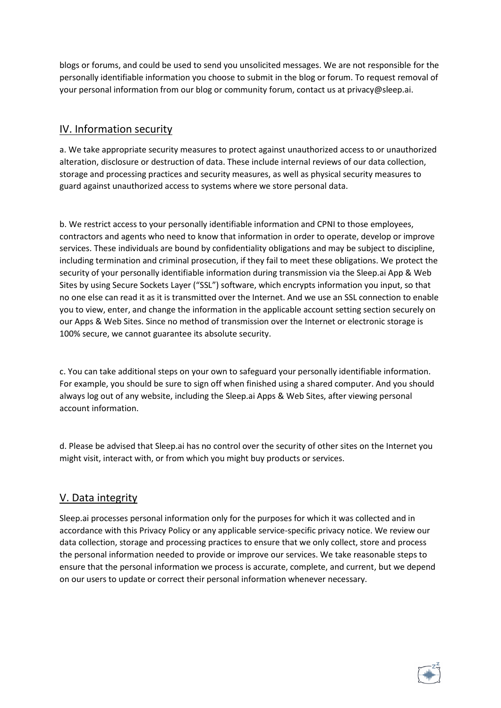blogs or forums, and could be used to send you unsolicited messages. We are not responsible for the personally identifiable information you choose to submit in the blog or forum. To request removal of your personal information from our blog or community forum, contact us at privacy@sleep.ai.

# IV. Information security

a. We take appropriate security measures to protect against unauthorized access to or unauthorized alteration, disclosure or destruction of data. These include internal reviews of our data collection, storage and processing practices and security measures, as well as physical security measures to guard against unauthorized access to systems where we store personal data.

b. We restrict access to your personally identifiable information and CPNI to those employees, contractors and agents who need to know that information in order to operate, develop or improve services. These individuals are bound by confidentiality obligations and may be subject to discipline, including termination and criminal prosecution, if they fail to meet these obligations. We protect the security of your personally identifiable information during transmission via the Sleep.ai App & Web Sites by using Secure Sockets Layer ("SSL") software, which encrypts information you input, so that no one else can read it as it is transmitted over the Internet. And we use an SSL connection to enable you to view, enter, and change the information in the applicable account setting section securely on our Apps & Web Sites. Since no method of transmission over the Internet or electronic storage is 100% secure, we cannot guarantee its absolute security.

c. You can take additional steps on your own to safeguard your personally identifiable information. For example, you should be sure to sign off when finished using a shared computer. And you should always log out of any website, including the Sleep.ai Apps & Web Sites, after viewing personal account information.

d. Please be advised that Sleep.ai has no control over the security of other sites on the Internet you might visit, interact with, or from which you might buy products or services.

### V. Data integrity

Sleep.ai processes personal information only for the purposes for which it was collected and in accordance with this Privacy Policy or any applicable service-specific privacy notice. We review our data collection, storage and processing practices to ensure that we only collect, store and process the personal information needed to provide or improve our services. We take reasonable steps to ensure that the personal information we process is accurate, complete, and current, but we depend on our users to update or correct their personal information whenever necessary.

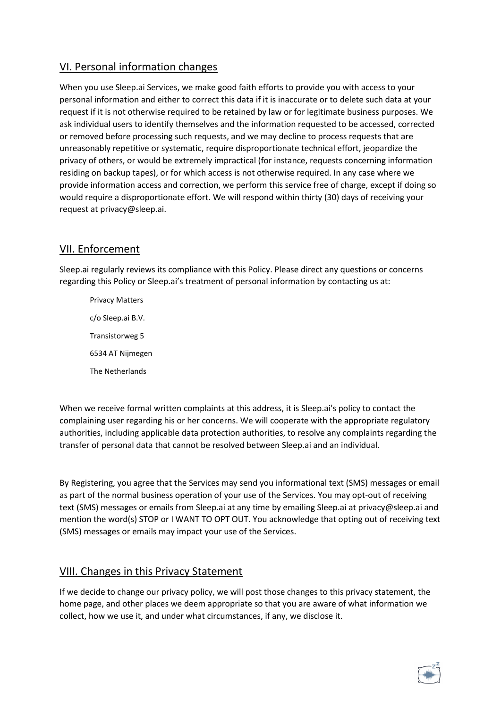# VI. Personal information changes

When you use Sleep.ai Services, we make good faith efforts to provide you with access to your personal information and either to correct this data if it is inaccurate or to delete such data at your request if it is not otherwise required to be retained by law or for legitimate business purposes. We ask individual users to identify themselves and the information requested to be accessed, corrected or removed before processing such requests, and we may decline to process requests that are unreasonably repetitive or systematic, require disproportionate technical effort, jeopardize the privacy of others, or would be extremely impractical (for instance, requests concerning information residing on backup tapes), or for which access is not otherwise required. In any case where we provide information access and correction, we perform this service free of charge, except if doing so would require a disproportionate effort. We will respond within thirty (30) days of receiving your request at privacy@sleep.ai.

# VII. Enforcement

Sleep.ai regularly reviews its compliance with this Policy. Please direct any questions or concerns regarding this Policy or Sleep.ai's treatment of personal information by contacting us at:

Privacy Matters c/o Sleep.ai B.V. Transistorweg 5 6534 AT Nijmegen The Netherlands

When we receive formal written complaints at this address, it is Sleep.ai's policy to contact the complaining user regarding his or her concerns. We will cooperate with the appropriate regulatory authorities, including applicable data protection authorities, to resolve any complaints regarding the transfer of personal data that cannot be resolved between Sleep.ai and an individual.

By Registering, you agree that the Services may send you informational text (SMS) messages or email as part of the normal business operation of your use of the Services. You may opt-out of receiving text (SMS) messages or emails from Sleep.ai at any time by emailing Sleep.ai at privacy@sleep.ai and mention the word(s) STOP or I WANT TO OPT OUT. You acknowledge that opting out of receiving text (SMS) messages or emails may impact your use of the Services.

# VIII. Changes in this Privacy Statement

If we decide to change our privacy policy, we will post those changes to this privacy statement, the home page, and other places we deem appropriate so that you are aware of what information we collect, how we use it, and under what circumstances, if any, we disclose it.